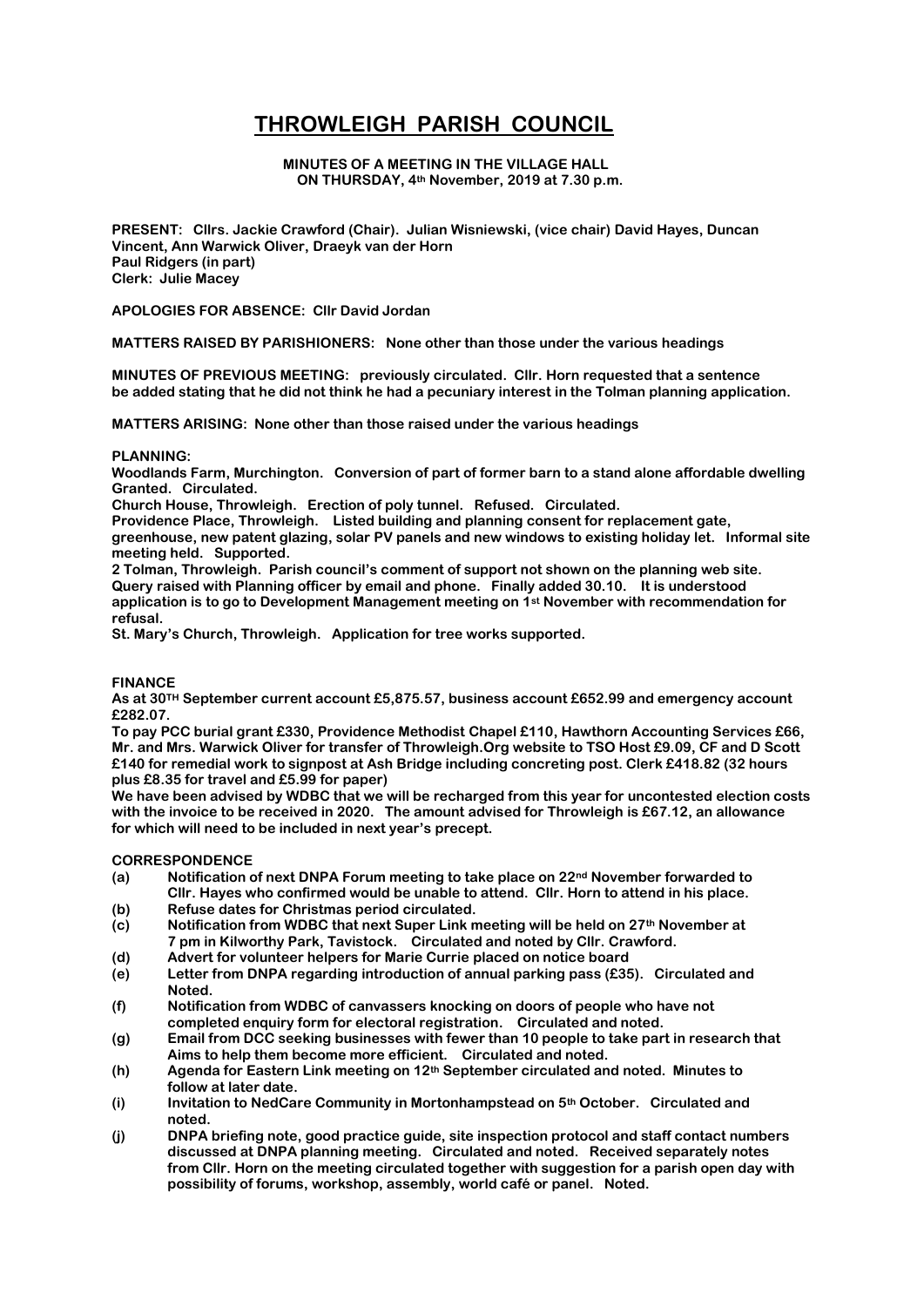# **THROWLEIGH PARISH COUNCIL**

#### **MINUTES OF A MEETING IN THE VILLAGE HALL ON THURSDAY, 4th November, 2019 at 7.30 p.m.**

**PRESENT: Cllrs. Jackie Crawford (Chair). Julian Wisniewski, (vice chair) David Hayes, Duncan Vincent, Ann Warwick Oliver, Draeyk van der Horn Paul Ridgers (in part) Clerk: Julie Macey**

**APOLOGIES FOR ABSENCE: Cllr David Jordan** 

**MATTERS RAISED BY PARISHIONERS: None other than those under the various headings**

**MINUTES OF PREVIOUS MEETING: previously circulated. Cllr. Horn requested that a sentence be added stating that he did not think he had a pecuniary interest in the Tolman planning application.**

**MATTERS ARISING: None other than those raised under the various headings**

#### **PLANNING:**

**Woodlands Farm, Murchington. Conversion of part of former barn to a stand alone affordable dwelling Granted. Circulated.**

**Church House, Throwleigh. Erection of poly tunnel. Refused. Circulated.**

**Providence Place, Throwleigh. Listed building and planning consent for replacement gate, greenhouse, new patent glazing, solar PV panels and new windows to existing holiday let. Informal site** 

**meeting held. Supported.** 

**2 Tolman, Throwleigh. Parish council's comment of support not shown on the planning web site. Query raised with Planning officer by email and phone. Finally added 30.10. It is understood application is to go to Development Management meeting on 1st November with recommendation for refusal.**

**St. Mary's Church, Throwleigh. Application for tree works supported.**

#### **FINANCE**

**As at 30TH September current account £5,875.57, business account £652.99 and emergency account £282.07.**

**To pay PCC burial grant £330, Providence Methodist Chapel £110, Hawthorn Accounting Services £66, Mr. and Mrs. Warwick Oliver for transfer of Throwleigh.Org website to TSO Host £9.09, CF and D Scott £140 for remedial work to signpost at Ash Bridge including concreting post. Clerk £418.82 (32 hours plus £8.35 for travel and £5.99 for paper)**

**We have been advised by WDBC that we will be recharged from this year for uncontested election costs with the invoice to be received in 2020. The amount advised for Throwleigh is £67.12, an allowance for which will need to be included in next year's precept.**

#### **CORRESPONDENCE**

- **(a) Notification of next DNPA Forum meeting to take place on 22nd November forwarded to Cllr. Hayes who confirmed would be unable to attend. Cllr. Horn to attend in his place.**
- **(b) Refuse dates for Christmas period circulated.**
- **(c) Notification from WDBC that next Super Link meeting will be held on 27th November at 7 pm in Kilworthy Park, Tavistock. Circulated and noted by Cllr. Crawford.**
- **(d) Advert for volunteer helpers for Marie Currie placed on notice board**
- **(e) Letter from DNPA regarding introduction of annual parking pass (£35). Circulated and Noted.**
- **(f) Notification from WDBC of canvassers knocking on doors of people who have not completed enquiry form for electoral registration. Circulated and noted.**
- **(g) Email from DCC seeking businesses with fewer than 10 people to take part in research that Aims to help them become more efficient. Circulated and noted.**
- **(h) Agenda for Eastern Link meeting on 12th September circulated and noted. Minutes to follow at later date.**
- **(i) Invitation to NedCare Community in Mortonhampstead on 5th October. Circulated and noted.**
- **(j) DNPA briefing note, good practice guide, site inspection protocol and staff contact numbers discussed at DNPA planning meeting. Circulated and noted. Received separately notes from Cllr. Horn on the meeting circulated together with suggestion for a parish open day with possibility of forums, workshop, assembly, world café or panel. Noted.**